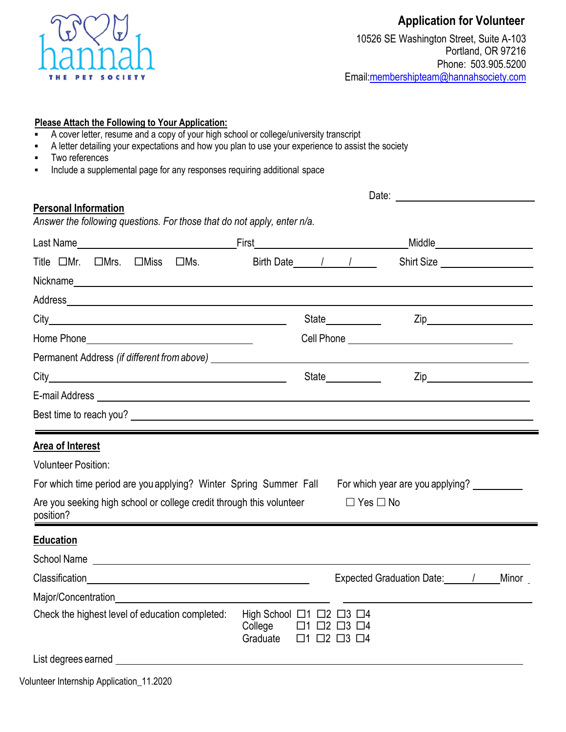

## **Application for Volunteer**

10526 SE Washington Street, Suite A-103 Portland, OR 97216 Phone: 503.905.5200 [Email:membershipteam@hannahsociety.com](mailto:recruitment@hannahsociety.com)

| Please Attach the Following to Your Application: |
|--------------------------------------------------|
|--------------------------------------------------|

- A cover letter, resume and a copy of your high school or college/university transcript
- A letter detailing your expectations and how you plan to use your experience to assist the society
- Two references
- Include a supplemental page for any responses requiring additional space

## Date: **Date: Date: Date: Date: Date: Date: Date: Date: Date: Date: Date: Date: Date: Date: Date: Date: Date: Date: Date: Date: Date: Date: Date: Date: Date: Date: Date: Personal Information** *Answer the following questions. For those that do not apply, enter n/a.* Last Name The Contract of Last Name Contract of Last Name Contract of Last Name Contract of Last Niddle Contract of Last Name Contract of Last Niddle Contract of Last Name Contract of Last Name Contract of Last Name Contra Title  $\Box$ Mr.  $\Box$ Mrs.  $\Box$ Miss  $\Box$ Ms. Birth Date / / / Shirt Size  $\Box$ Nickname **Nickname** Address <u>\_\_\_\_\_\_\_\_\_\_\_\_\_\_\_\_\_\_\_\_\_\_\_\_\_\_\_</u> City State Zip Home Phone Cell Phone Permanent Address *(if different fromabove)* City State Zip E-mail Address Best time to reach you? **Area of Interest** Volunteer Position: For which time period are you applying? Winter Spring Summer Fall For which year are you applying? Are you seeking high school or college credit through this volunteer position?  $\Box$  Yes  $\Box$  No **Education**

| <b>School Name</b>                              |                                                                                                                                                |  |                                  |       |
|-------------------------------------------------|------------------------------------------------------------------------------------------------------------------------------------------------|--|----------------------------------|-------|
| Classification                                  |                                                                                                                                                |  | <b>Expected Graduation Date:</b> | Minor |
| Major/Concentration                             |                                                                                                                                                |  |                                  |       |
| Check the highest level of education completed: | High School $\Box$ 1 $\Box$ 2 $\Box$ 3 $\Box$ 4<br>College $\Box$ 1 $\Box$ 2 $\Box$ 3 $\Box$ 4<br>Graduate $\Box$ 1 $\Box$ 2 $\Box$ 3 $\Box$ 4 |  |                                  |       |
| List degrees earned                             |                                                                                                                                                |  |                                  |       |

Volunteer Internship Application\_11.2020